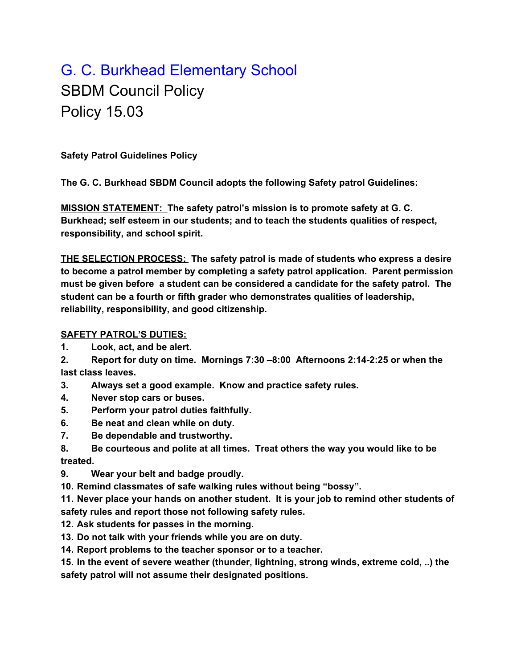## G. C. Burkhead Elementary School SBDM Council Policy Policy 15.03

**Safety Patrol Guidelines Policy**

**The G. C. Burkhead SBDM Council adopts the following Safety patrol Guidelines:**

**MISSION STATEMENT: The safety patrol's mission is to promote safety at G. C. Burkhead; self esteem in our students; and to teach the students qualities of respect, responsibility, and school spirit.**

**THE SELECTION PROCESS: The safety patrol is made of students who express a desire to become a patrol member by completing a safety patrol application. Parent permission must be given before a student can be considered a candidate for the safety patrol. The student can be a fourth or fifth grader who demonstrates qualities of leadership, reliability, responsibility, and good citizenship.**

## **SAFETY PATROL'S DUTIES:**

- **1. Look, act, and be alert.**
- **2. Report for duty on time. Mornings 7:30 –8:00 Afternoons 2:14-2:25 or when the last class leaves.**
- **3. Always set a good example. Know and practice safety rules.**
- **4. Never stop cars or buses.**
- **5. Perform your patrol duties faithfully.**
- **6. Be neat and clean while on duty.**
- **7. Be dependable and trustworthy.**
- **8. Be courteous and polite at all times. Treat others the way you would like to be treated.**
- **9. Wear your belt and badge proudly.**
- **10. Remind classmates of safe walking rules without being "bossy".**

**11. Never place your hands on another student. It is your job to remind other students of safety rules and report those not following safety rules.**

- **12. Ask students for passes in the morning.**
- **13. Do not talk with your friends while you are on duty.**
- **14. Report problems to the teacher sponsor or to a teacher.**

**15. In the event of severe weather (thunder, lightning, strong winds, extreme cold, ..) the safety patrol will not assume their designated positions.**